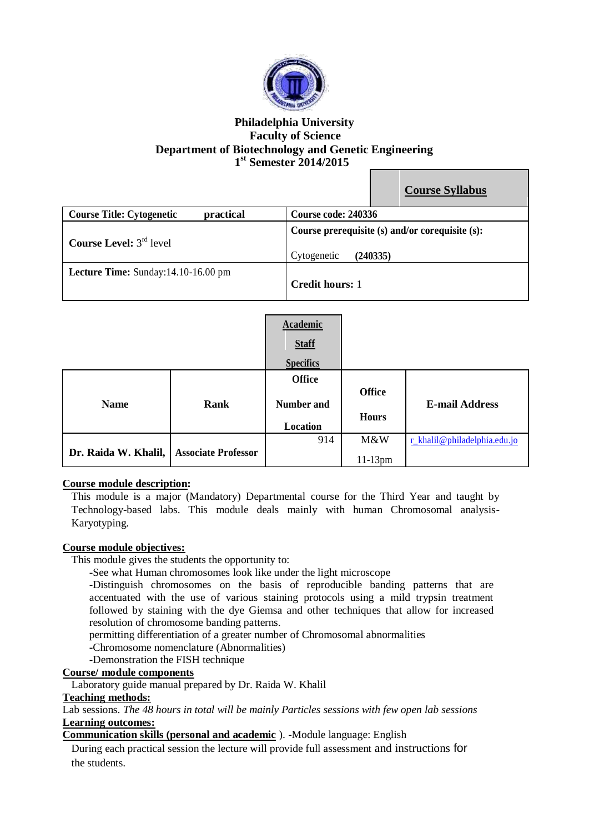

# **Philadelphia University Faculty of Science Department of Biotechnology and Genetic Engineering 1 st Semester 2014/2015**

|                                               | <b>Course Syllabus</b>                                                     |
|-----------------------------------------------|----------------------------------------------------------------------------|
| practical<br><b>Course Title: Cytogenetic</b> | Course code: 240336                                                        |
| <b>Course Level:</b> $3^{rd}$ level           | Course prerequisite (s) and/or corequisite (s):<br>(240335)<br>Cytogenetic |
| Lecture Time: Sunday:14.10-16.00 pm           | <b>Credit hours: 1</b>                                                     |

|                      |                            | Academic<br><b>Staff</b><br><b>Specifics</b>   |                               |                              |
|----------------------|----------------------------|------------------------------------------------|-------------------------------|------------------------------|
| <b>Name</b>          | Rank                       | <b>Office</b><br><b>Number and</b><br>Location | <b>Office</b><br><b>Hours</b> | <b>E-mail Address</b>        |
| Dr. Raida W. Khalil, | <b>Associate Professor</b> | 914                                            | M&W<br>$11-13$ pm             | r_khalil@philadelphia.edu.jo |

# **Course module description:**

This module is a major (Mandatory) Departmental course for the Third Year and taught by Technology-based labs. This module deals mainly with human Chromosomal analysis-Karyotyping.

#### **Course module objectives:**

This module gives the students the opportunity to:

-See what Human chromosomes look like under the light microscope

-Distinguish chromosomes on the basis of reproducible banding patterns that are accentuated with the use of various staining protocols using a mild trypsin treatment followed by staining with the dye Giemsa and other techniques that allow for increased resolution of chromosome banding patterns.

permitting differentiation of a greater number of Chromosomal abnormalities

**-**Chromosome nomenclature (Abnormalities)

**-**Demonstration the FISH technique

#### **Course/ module components**

Laboratory guide manual prepared by Dr. Raida W. Khalil

**Teaching methods:**

Lab sessions. *The 48 hours in total will be mainly Particles sessions with few open lab sessions* **Learning outcomes:**

**Communication skills (personal and academic** ). -Module language: English

During each practical session the lecture will provide full assessment and instructions for the students.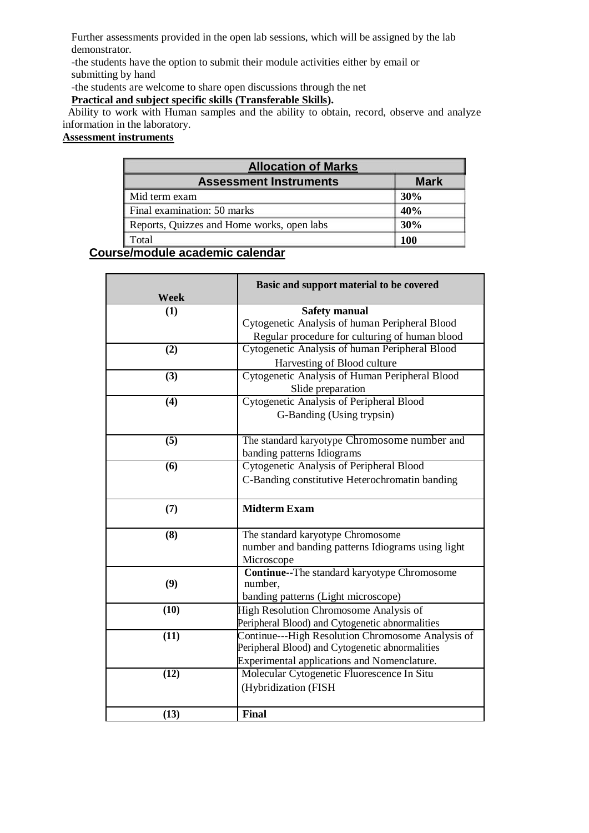Further assessments provided in the open lab sessions, which will be assigned by the lab demonstrator.

-the students have the option to submit their module activities either by email or submitting by hand

-the students are welcome to share open discussions through the net

# **Practical and subject specific skills (Transferable Skills).**

 Ability to work with Human samples and the ability to obtain, record, observe and analyze information in the laboratory.

# **Assessment instruments**

| <b>Allocation of Marks</b>                 |             |  |
|--------------------------------------------|-------------|--|
| <b>Assessment Instruments</b>              | <b>Mark</b> |  |
| Mid term exam                              | 30%         |  |
| Final examination: 50 marks                | 40%         |  |
| Reports, Quizzes and Home works, open labs | 30%         |  |
| `otal                                      | 100         |  |

# **Course/module academic calendar**

| Week | Basic and support material to be covered           |
|------|----------------------------------------------------|
| (1)  | <b>Safety manual</b>                               |
|      | Cytogenetic Analysis of human Peripheral Blood     |
|      | Regular procedure for culturing of human blood     |
| (2)  | Cytogenetic Analysis of human Peripheral Blood     |
|      | Harvesting of Blood culture                        |
| (3)  | Cytogenetic Analysis of Human Peripheral Blood     |
|      | Slide preparation                                  |
| (4)  | Cytogenetic Analysis of Peripheral Blood           |
|      | G-Banding (Using trypsin)                          |
| (5)  | The standard karyotype Chromosome number and       |
|      | banding patterns Idiograms                         |
| (6)  | <b>Cytogenetic Analysis of Peripheral Blood</b>    |
|      | C-Banding constitutive Heterochromatin banding     |
| (7)  | <b>Midterm Exam</b>                                |
|      |                                                    |
| (8)  | The standard karyotype Chromosome                  |
|      | number and banding patterns Idiograms using light  |
|      | Microscope                                         |
|      | <b>Continue--The standard karyotype Chromosome</b> |
| (9)  | number,                                            |
|      | banding patterns (Light microscope)                |
| (10) | <b>High Resolution Chromosome Analysis of</b>      |
|      | Peripheral Blood) and Cytogenetic abnormalities    |
| (11) | Continue---High Resolution Chromosome Analysis of  |
|      | Peripheral Blood) and Cytogenetic abnormalities    |
|      | Experimental applications and Nomenclature.        |
| (12) | Molecular Cytogenetic Fluorescence In Situ         |
|      | (Hybridization (FISH                               |